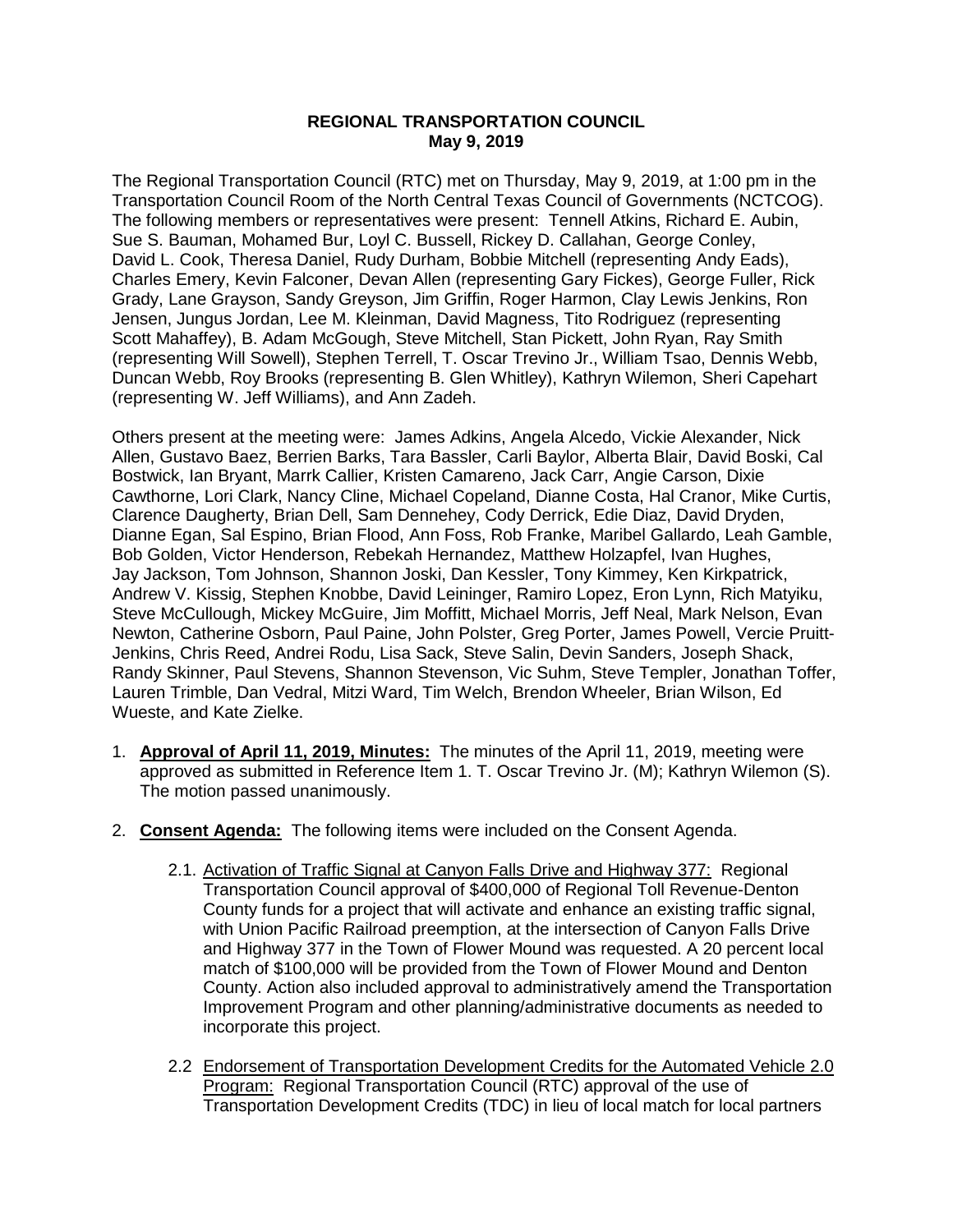## **REGIONAL TRANSPORTATION COUNCIL May 9, 2019**

The Regional Transportation Council (RTC) met on Thursday, May 9, 2019, at 1:00 pm in the Transportation Council Room of the North Central Texas Council of Governments (NCTCOG). The following members or representatives were present: Tennell Atkins, Richard E. Aubin, Sue S. Bauman, Mohamed Bur, Loyl C. Bussell, Rickey D. Callahan, George Conley, David L. Cook, Theresa Daniel, Rudy Durham, Bobbie Mitchell (representing Andy Eads), Charles Emery, Kevin Falconer, Devan Allen (representing Gary Fickes), George Fuller, Rick Grady, Lane Grayson, Sandy Greyson, Jim Griffin, Roger Harmon, Clay Lewis Jenkins, Ron Jensen, Jungus Jordan, Lee M. Kleinman, David Magness, Tito Rodriguez (representing Scott Mahaffey), B. Adam McGough, Steve Mitchell, Stan Pickett, John Ryan, Ray Smith (representing Will Sowell), Stephen Terrell, T. Oscar Trevino Jr., William Tsao, Dennis Webb, Duncan Webb, Roy Brooks (representing B. Glen Whitley), Kathryn Wilemon, Sheri Capehart (representing W. Jeff Williams), and Ann Zadeh.

Others present at the meeting were: James Adkins, Angela Alcedo, Vickie Alexander, Nick Allen, Gustavo Baez, Berrien Barks, Tara Bassler, Carli Baylor, Alberta Blair, David Boski, Cal Bostwick, Ian Bryant, Marrk Callier, Kristen Camareno, Jack Carr, Angie Carson, Dixie Cawthorne, Lori Clark, Nancy Cline, Michael Copeland, Dianne Costa, Hal Cranor, Mike Curtis, Clarence Daugherty, Brian Dell, Sam Dennehey, Cody Derrick, Edie Diaz, David Dryden, Dianne Egan, Sal Espino, Brian Flood, Ann Foss, Rob Franke, Maribel Gallardo, Leah Gamble, Bob Golden, Victor Henderson, Rebekah Hernandez, Matthew Holzapfel, Ivan Hughes, Jay Jackson, Tom Johnson, Shannon Joski, Dan Kessler, Tony Kimmey, Ken Kirkpatrick, Andrew V. Kissig, Stephen Knobbe, David Leininger, Ramiro Lopez, Eron Lynn, Rich Matyiku, Steve McCullough, Mickey McGuire, Jim Moffitt, Michael Morris, Jeff Neal, Mark Nelson, Evan Newton, Catherine Osborn, Paul Paine, John Polster, Greg Porter, James Powell, Vercie Pruitt-Jenkins, Chris Reed, Andrei Rodu, Lisa Sack, Steve Salin, Devin Sanders, Joseph Shack, Randy Skinner, Paul Stevens, Shannon Stevenson, Vic Suhm, Steve Templer, Jonathan Toffer, Lauren Trimble, Dan Vedral, Mitzi Ward, Tim Welch, Brendon Wheeler, Brian Wilson, Ed Wueste, and Kate Zielke.

- 1. **Approval of April 11, 2019, Minutes:** The minutes of the April 11, 2019, meeting were approved as submitted in Reference Item 1. T. Oscar Trevino Jr. (M); Kathryn Wilemon (S). The motion passed unanimously.
- 2. **Consent Agenda:** The following items were included on the Consent Agenda.
	- 2.1. Activation of Traffic Signal at Canyon Falls Drive and Highway 377: Regional Transportation Council approval of \$400,000 of Regional Toll Revenue-Denton County funds for a project that will activate and enhance an existing traffic signal, with Union Pacific Railroad preemption, at the intersection of Canyon Falls Drive and Highway 377 in the Town of Flower Mound was requested. A 20 percent local match of \$100,000 will be provided from the Town of Flower Mound and Denton County. Action also included approval to administratively amend the Transportation Improvement Program and other planning/administrative documents as needed to incorporate this project.
	- 2.2 Endorsement of Transportation Development Credits for the Automated Vehicle 2.0 Program: Regional Transportation Council (RTC) approval of the use of Transportation Development Credits (TDC) in lieu of local match for local partners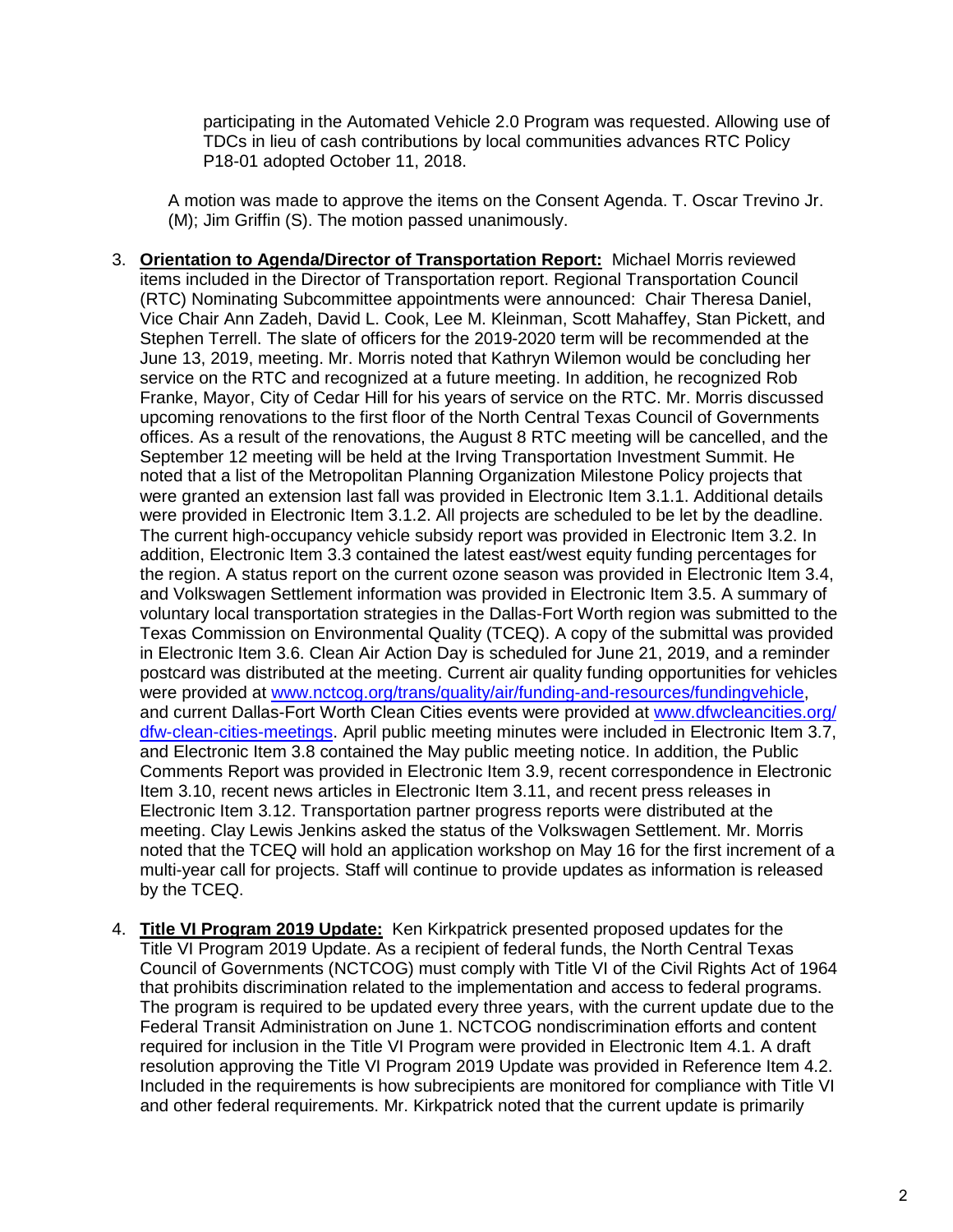participating in the Automated Vehicle 2.0 Program was requested. Allowing use of TDCs in lieu of cash contributions by local communities advances RTC Policy P18-01 adopted October 11, 2018.

A motion was made to approve the items on the Consent Agenda. T. Oscar Trevino Jr. (M); Jim Griffin (S). The motion passed unanimously.

- 3. **Orientation to Agenda/Director of Transportation Report:** Michael Morris reviewed items included in the Director of Transportation report. Regional Transportation Council (RTC) Nominating Subcommittee appointments were announced: Chair Theresa Daniel, Vice Chair Ann Zadeh, David L. Cook, Lee M. Kleinman, Scott Mahaffey, Stan Pickett, and Stephen Terrell. The slate of officers for the 2019-2020 term will be recommended at the June 13, 2019, meeting. Mr. Morris noted that Kathryn Wilemon would be concluding her service on the RTC and recognized at a future meeting. In addition, he recognized Rob Franke, Mayor, City of Cedar Hill for his years of service on the RTC. Mr. Morris discussed upcoming renovations to the first floor of the North Central Texas Council of Governments offices. As a result of the renovations, the August 8 RTC meeting will be cancelled, and the September 12 meeting will be held at the Irving Transportation Investment Summit. He noted that a list of the Metropolitan Planning Organization Milestone Policy projects that were granted an extension last fall was provided in Electronic Item 3.1.1. Additional details were provided in Electronic Item 3.1.2. All projects are scheduled to be let by the deadline. The current high-occupancy vehicle subsidy report was provided in Electronic Item 3.2. In addition, Electronic Item 3.3 contained the latest east/west equity funding percentages for the region. A status report on the current ozone season was provided in Electronic Item 3.4, and Volkswagen Settlement information was provided in Electronic Item 3.5. A summary of voluntary local transportation strategies in the Dallas-Fort Worth region was submitted to the Texas Commission on Environmental Quality (TCEQ). A copy of the submittal was provided in Electronic Item 3.6. Clean Air Action Day is scheduled for June 21, 2019, and a reminder postcard was distributed at the meeting. Current air quality funding opportunities for vehicles were provided at [www.nctcog.org/trans/quality/air/funding-and-resources/fundingvehicle,](http://www.nctcog.org/trans/quality/air/funding-and-resources/fundingvehicle) and current Dallas-Fort Worth Clean Cities events were provided at [www.dfwcleancities.org/](http://www.dfwcleancities.org/dfw-clean-cities-meetings) [dfw-clean-cities-meetings.](http://www.dfwcleancities.org/dfw-clean-cities-meetings) April public meeting minutes were included in Electronic Item 3.7, and Electronic Item 3.8 contained the May public meeting notice. In addition, the Public Comments Report was provided in Electronic Item 3.9, recent correspondence in Electronic Item 3.10, recent news articles in Electronic Item 3.11, and recent press releases in Electronic Item 3.12. Transportation partner progress reports were distributed at the meeting. Clay Lewis Jenkins asked the status of the Volkswagen Settlement. Mr. Morris noted that the TCEQ will hold an application workshop on May 16 for the first increment of a multi-year call for projects. Staff will continue to provide updates as information is released by the TCEQ.
- 4. **Title VI Program 2019 Update:** Ken Kirkpatrick presented proposed updates for the Title VI Program 2019 Update. As a recipient of federal funds, the North Central Texas Council of Governments (NCTCOG) must comply with Title VI of the Civil Rights Act of 1964 that prohibits discrimination related to the implementation and access to federal programs. The program is required to be updated every three years, with the current update due to the Federal Transit Administration on June 1. NCTCOG nondiscrimination efforts and content required for inclusion in the Title VI Program were provided in Electronic Item 4.1. A draft resolution approving the Title VI Program 2019 Update was provided in Reference Item 4.2. Included in the requirements is how subrecipients are monitored for compliance with Title VI and other federal requirements. Mr. Kirkpatrick noted that the current update is primarily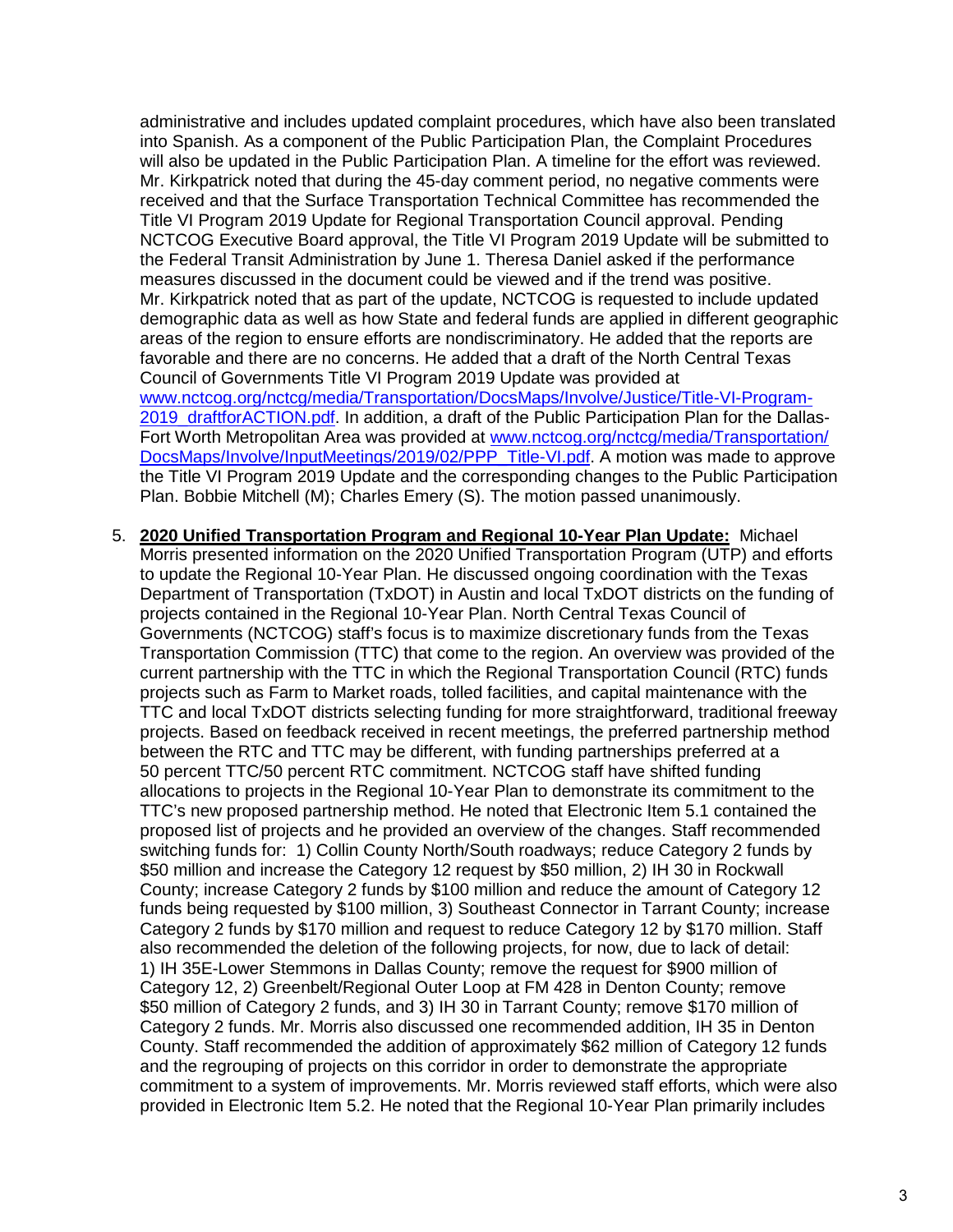administrative and includes updated complaint procedures, which have also been translated into Spanish. As a component of the Public Participation Plan, the Complaint Procedures will also be updated in the Public Participation Plan. A timeline for the effort was reviewed. Mr. Kirkpatrick noted that during the 45-day comment period, no negative comments were received and that the Surface Transportation Technical Committee has recommended the Title VI Program 2019 Update for Regional Transportation Council approval. Pending NCTCOG Executive Board approval, the Title VI Program 2019 Update will be submitted to the Federal Transit Administration by June 1. Theresa Daniel asked if the performance measures discussed in the document could be viewed and if the trend was positive. Mr. Kirkpatrick noted that as part of the update, NCTCOG is requested to include updated demographic data as well as how State and federal funds are applied in different geographic areas of the region to ensure efforts are nondiscriminatory. He added that the reports are favorable and there are no concerns. He added that a draft of the North Central Texas Council of Governments Title VI Program 2019 Update was provided at [www.nctcog.org/nctcg/media/Transportation/DocsMaps/Involve/Justice/Title-VI-Program-](http://www.nctcog.org/nctcg/media/Transportation/DocsMaps/Involve/Justice/Title-VI-Program-2019_draftforACTION.pdf)[2019\\_draftforACTION.pdf.](http://www.nctcog.org/nctcg/media/Transportation/DocsMaps/Involve/Justice/Title-VI-Program-2019_draftforACTION.pdf) In addition, a draft of the Public Participation Plan for the Dallas-Fort Worth Metropolitan Area was provided at [www.nctcog.org/nctcg/media/Transportation/](http://www.nctcog.org/nctcg/media/Transportation/DocsMaps/Involve/InputMeetings/2019/02/PPP_Title-VI.pdf) [DocsMaps/Involve/InputMeetings/2019/02/PPP\\_Title-VI.pdf.](http://www.nctcog.org/nctcg/media/Transportation/DocsMaps/Involve/InputMeetings/2019/02/PPP_Title-VI.pdf) A motion was made to approve the Title VI Program 2019 Update and the corresponding changes to the Public Participation Plan. Bobbie Mitchell (M); Charles Emery (S). The motion passed unanimously.

5. **2020 Unified Transportation Program and Regional 10-Year Plan Update:** Michael Morris presented information on the 2020 Unified Transportation Program (UTP) and efforts to update the Regional 10-Year Plan. He discussed ongoing coordination with the Texas Department of Transportation (TxDOT) in Austin and local TxDOT districts on the funding of projects contained in the Regional 10-Year Plan. North Central Texas Council of Governments (NCTCOG) staff's focus is to maximize discretionary funds from the Texas Transportation Commission (TTC) that come to the region. An overview was provided of the current partnership with the TTC in which the Regional Transportation Council (RTC) funds projects such as Farm to Market roads, tolled facilities, and capital maintenance with the TTC and local TxDOT districts selecting funding for more straightforward, traditional freeway projects. Based on feedback received in recent meetings, the preferred partnership method between the RTC and TTC may be different, with funding partnerships preferred at a 50 percent TTC/50 percent RTC commitment. NCTCOG staff have shifted funding allocations to projects in the Regional 10-Year Plan to demonstrate its commitment to the TTC's new proposed partnership method. He noted that Electronic Item 5.1 contained the proposed list of projects and he provided an overview of the changes. Staff recommended switching funds for: 1) Collin County North/South roadways; reduce Category 2 funds by \$50 million and increase the Category 12 request by \$50 million, 2) IH 30 in Rockwall County; increase Category 2 funds by \$100 million and reduce the amount of Category 12 funds being requested by \$100 million, 3) Southeast Connector in Tarrant County; increase Category 2 funds by \$170 million and request to reduce Category 12 by \$170 million. Staff also recommended the deletion of the following projects, for now, due to lack of detail: 1) IH 35E-Lower Stemmons in Dallas County; remove the request for \$900 million of Category 12, 2) Greenbelt/Regional Outer Loop at FM 428 in Denton County; remove \$50 million of Category 2 funds, and 3) IH 30 in Tarrant County; remove \$170 million of Category 2 funds. Mr. Morris also discussed one recommended addition, IH 35 in Denton County. Staff recommended the addition of approximately \$62 million of Category 12 funds and the regrouping of projects on this corridor in order to demonstrate the appropriate commitment to a system of improvements. Mr. Morris reviewed staff efforts, which were also provided in Electronic Item 5.2. He noted that the Regional 10-Year Plan primarily includes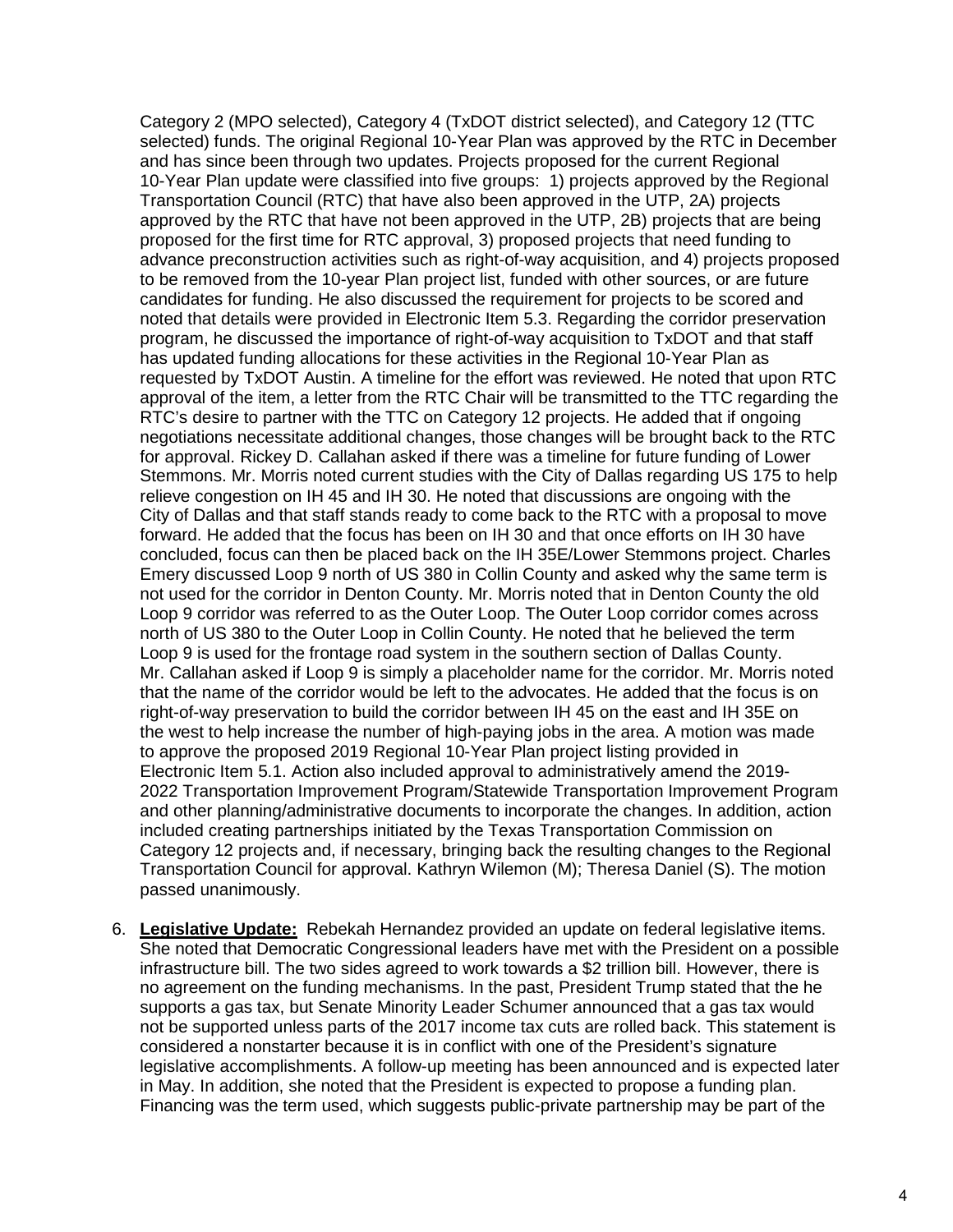Category 2 (MPO selected), Category 4 (TxDOT district selected), and Category 12 (TTC selected) funds. The original Regional 10-Year Plan was approved by the RTC in December and has since been through two updates. Projects proposed for the current Regional 10-Year Plan update were classified into five groups: 1) projects approved by the Regional Transportation Council (RTC) that have also been approved in the UTP, 2A) projects approved by the RTC that have not been approved in the UTP, 2B) projects that are being proposed for the first time for RTC approval, 3) proposed projects that need funding to advance preconstruction activities such as right-of-way acquisition, and 4) projects proposed to be removed from the 10-year Plan project list, funded with other sources, or are future candidates for funding. He also discussed the requirement for projects to be scored and noted that details were provided in Electronic Item 5.3. Regarding the corridor preservation program, he discussed the importance of right-of-way acquisition to TxDOT and that staff has updated funding allocations for these activities in the Regional 10-Year Plan as requested by TxDOT Austin. A timeline for the effort was reviewed. He noted that upon RTC approval of the item, a letter from the RTC Chair will be transmitted to the TTC regarding the RTC's desire to partner with the TTC on Category 12 projects. He added that if ongoing negotiations necessitate additional changes, those changes will be brought back to the RTC for approval. Rickey D. Callahan asked if there was a timeline for future funding of Lower Stemmons. Mr. Morris noted current studies with the City of Dallas regarding US 175 to help relieve congestion on IH 45 and IH 30. He noted that discussions are ongoing with the City of Dallas and that staff stands ready to come back to the RTC with a proposal to move forward. He added that the focus has been on IH 30 and that once efforts on IH 30 have concluded, focus can then be placed back on the IH 35E/Lower Stemmons project. Charles Emery discussed Loop 9 north of US 380 in Collin County and asked why the same term is not used for the corridor in Denton County. Mr. Morris noted that in Denton County the old Loop 9 corridor was referred to as the Outer Loop. The Outer Loop corridor comes across north of US 380 to the Outer Loop in Collin County. He noted that he believed the term Loop 9 is used for the frontage road system in the southern section of Dallas County. Mr. Callahan asked if Loop 9 is simply a placeholder name for the corridor. Mr. Morris noted that the name of the corridor would be left to the advocates. He added that the focus is on right-of-way preservation to build the corridor between IH 45 on the east and IH 35E on the west to help increase the number of high-paying jobs in the area. A motion was made to approve the proposed 2019 Regional 10-Year Plan project listing provided in Electronic Item 5.1. Action also included approval to administratively amend the 2019- 2022 Transportation Improvement Program/Statewide Transportation Improvement Program and other planning/administrative documents to incorporate the changes. In addition, action included creating partnerships initiated by the Texas Transportation Commission on Category 12 projects and, if necessary, bringing back the resulting changes to the Regional Transportation Council for approval. Kathryn Wilemon (M); Theresa Daniel (S). The motion passed unanimously.

6. **Legislative Update:** Rebekah Hernandez provided an update on federal legislative items. She noted that Democratic Congressional leaders have met with the President on a possible infrastructure bill. The two sides agreed to work towards a \$2 trillion bill. However, there is no agreement on the funding mechanisms. In the past, President Trump stated that the he supports a gas tax, but Senate Minority Leader Schumer announced that a gas tax would not be supported unless parts of the 2017 income tax cuts are rolled back. This statement is considered a nonstarter because it is in conflict with one of the President's signature legislative accomplishments. A follow-up meeting has been announced and is expected later in May. In addition, she noted that the President is expected to propose a funding plan. Financing was the term used, which suggests public-private partnership may be part of the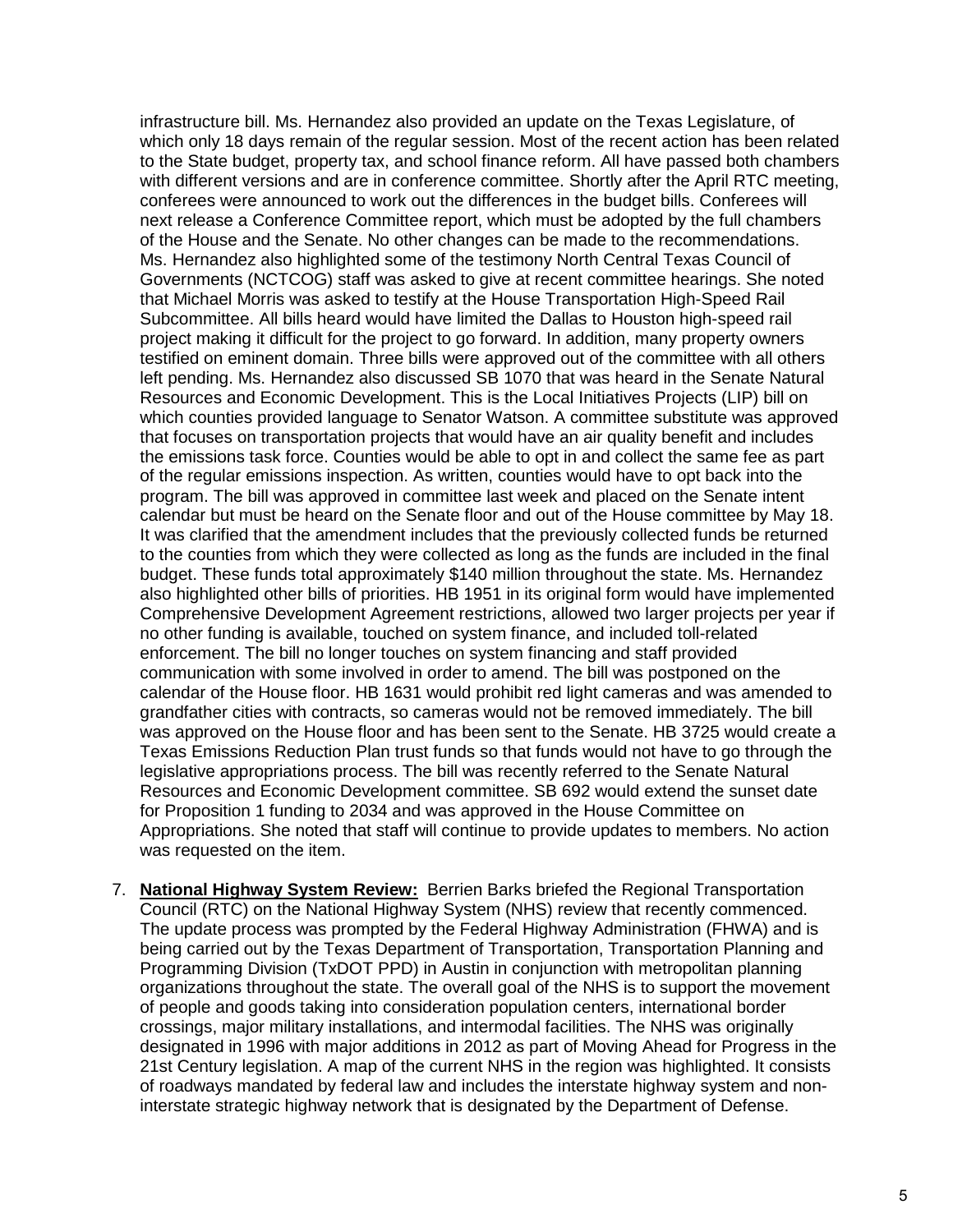infrastructure bill. Ms. Hernandez also provided an update on the Texas Legislature, of which only 18 days remain of the regular session. Most of the recent action has been related to the State budget, property tax, and school finance reform. All have passed both chambers with different versions and are in conference committee. Shortly after the April RTC meeting, conferees were announced to work out the differences in the budget bills. Conferees will next release a Conference Committee report, which must be adopted by the full chambers of the House and the Senate. No other changes can be made to the recommendations. Ms. Hernandez also highlighted some of the testimony North Central Texas Council of Governments (NCTCOG) staff was asked to give at recent committee hearings. She noted that Michael Morris was asked to testify at the House Transportation High-Speed Rail Subcommittee. All bills heard would have limited the Dallas to Houston high-speed rail project making it difficult for the project to go forward. In addition, many property owners testified on eminent domain. Three bills were approved out of the committee with all others left pending. Ms. Hernandez also discussed SB 1070 that was heard in the Senate Natural Resources and Economic Development. This is the Local Initiatives Projects (LIP) bill on which counties provided language to Senator Watson. A committee substitute was approved that focuses on transportation projects that would have an air quality benefit and includes the emissions task force. Counties would be able to opt in and collect the same fee as part of the regular emissions inspection. As written, counties would have to opt back into the program. The bill was approved in committee last week and placed on the Senate intent calendar but must be heard on the Senate floor and out of the House committee by May 18. It was clarified that the amendment includes that the previously collected funds be returned to the counties from which they were collected as long as the funds are included in the final budget. These funds total approximately \$140 million throughout the state. Ms. Hernandez also highlighted other bills of priorities. HB 1951 in its original form would have implemented Comprehensive Development Agreement restrictions, allowed two larger projects per year if no other funding is available, touched on system finance, and included toll-related enforcement. The bill no longer touches on system financing and staff provided communication with some involved in order to amend. The bill was postponed on the calendar of the House floor. HB 1631 would prohibit red light cameras and was amended to grandfather cities with contracts, so cameras would not be removed immediately. The bill was approved on the House floor and has been sent to the Senate. HB 3725 would create a Texas Emissions Reduction Plan trust funds so that funds would not have to go through the legislative appropriations process. The bill was recently referred to the Senate Natural Resources and Economic Development committee. SB 692 would extend the sunset date for Proposition 1 funding to 2034 and was approved in the House Committee on Appropriations. She noted that staff will continue to provide updates to members. No action was requested on the item.

7. **National Highway System Review:** Berrien Barks briefed the Regional Transportation Council (RTC) on the National Highway System (NHS) review that recently commenced. The update process was prompted by the Federal Highway Administration (FHWA) and is being carried out by the Texas Department of Transportation, Transportation Planning and Programming Division (TxDOT PPD) in Austin in conjunction with metropolitan planning organizations throughout the state. The overall goal of the NHS is to support the movement of people and goods taking into consideration population centers, international border crossings, major military installations, and intermodal facilities. The NHS was originally designated in 1996 with major additions in 2012 as part of Moving Ahead for Progress in the 21st Century legislation. A map of the current NHS in the region was highlighted. It consists of roadways mandated by federal law and includes the interstate highway system and noninterstate strategic highway network that is designated by the Department of Defense.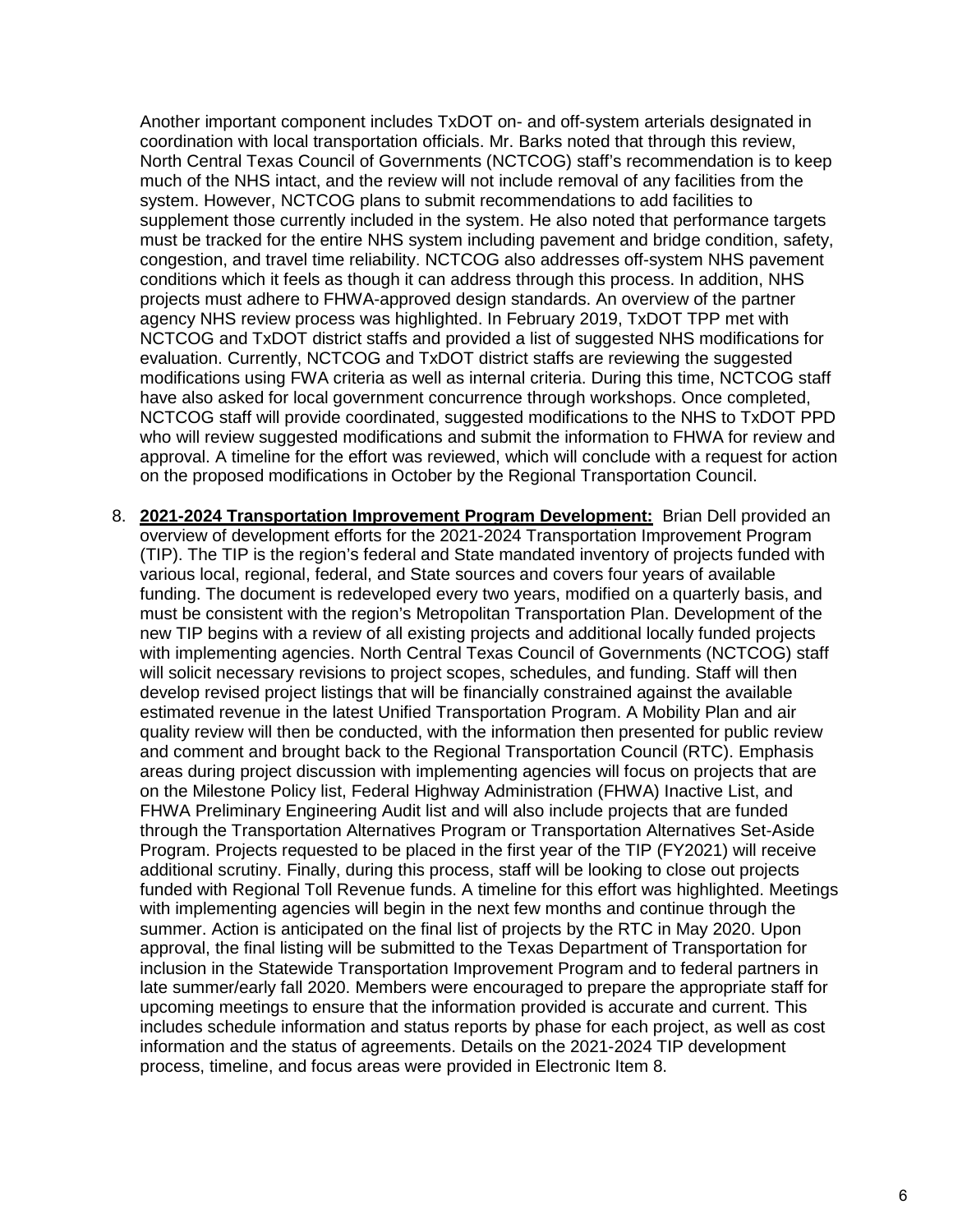Another important component includes TxDOT on- and off-system arterials designated in coordination with local transportation officials. Mr. Barks noted that through this review, North Central Texas Council of Governments (NCTCOG) staff's recommendation is to keep much of the NHS intact, and the review will not include removal of any facilities from the system. However, NCTCOG plans to submit recommendations to add facilities to supplement those currently included in the system. He also noted that performance targets must be tracked for the entire NHS system including pavement and bridge condition, safety, congestion, and travel time reliability. NCTCOG also addresses off-system NHS pavement conditions which it feels as though it can address through this process. In addition, NHS projects must adhere to FHWA-approved design standards. An overview of the partner agency NHS review process was highlighted. In February 2019, TxDOT TPP met with NCTCOG and TxDOT district staffs and provided a list of suggested NHS modifications for evaluation. Currently, NCTCOG and TxDOT district staffs are reviewing the suggested modifications using FWA criteria as well as internal criteria. During this time, NCTCOG staff have also asked for local government concurrence through workshops. Once completed, NCTCOG staff will provide coordinated, suggested modifications to the NHS to TxDOT PPD who will review suggested modifications and submit the information to FHWA for review and approval. A timeline for the effort was reviewed, which will conclude with a request for action on the proposed modifications in October by the Regional Transportation Council.

8. **2021-2024 Transportation Improvement Program Development:** Brian Dell provided an overview of development efforts for the 2021-2024 Transportation Improvement Program (TIP). The TIP is the region's federal and State mandated inventory of projects funded with various local, regional, federal, and State sources and covers four years of available funding. The document is redeveloped every two years, modified on a quarterly basis, and must be consistent with the region's Metropolitan Transportation Plan. Development of the new TIP begins with a review of all existing projects and additional locally funded projects with implementing agencies. North Central Texas Council of Governments (NCTCOG) staff will solicit necessary revisions to project scopes, schedules, and funding. Staff will then develop revised project listings that will be financially constrained against the available estimated revenue in the latest Unified Transportation Program. A Mobility Plan and air quality review will then be conducted, with the information then presented for public review and comment and brought back to the Regional Transportation Council (RTC). Emphasis areas during project discussion with implementing agencies will focus on projects that are on the Milestone Policy list, Federal Highway Administration (FHWA) Inactive List, and FHWA Preliminary Engineering Audit list and will also include projects that are funded through the Transportation Alternatives Program or Transportation Alternatives Set-Aside Program. Projects requested to be placed in the first year of the TIP (FY2021) will receive additional scrutiny. Finally, during this process, staff will be looking to close out projects funded with Regional Toll Revenue funds. A timeline for this effort was highlighted. Meetings with implementing agencies will begin in the next few months and continue through the summer. Action is anticipated on the final list of projects by the RTC in May 2020. Upon approval, the final listing will be submitted to the Texas Department of Transportation for inclusion in the Statewide Transportation Improvement Program and to federal partners in late summer/early fall 2020. Members were encouraged to prepare the appropriate staff for upcoming meetings to ensure that the information provided is accurate and current. This includes schedule information and status reports by phase for each project, as well as cost information and the status of agreements. Details on the 2021-2024 TIP development process, timeline, and focus areas were provided in Electronic Item 8.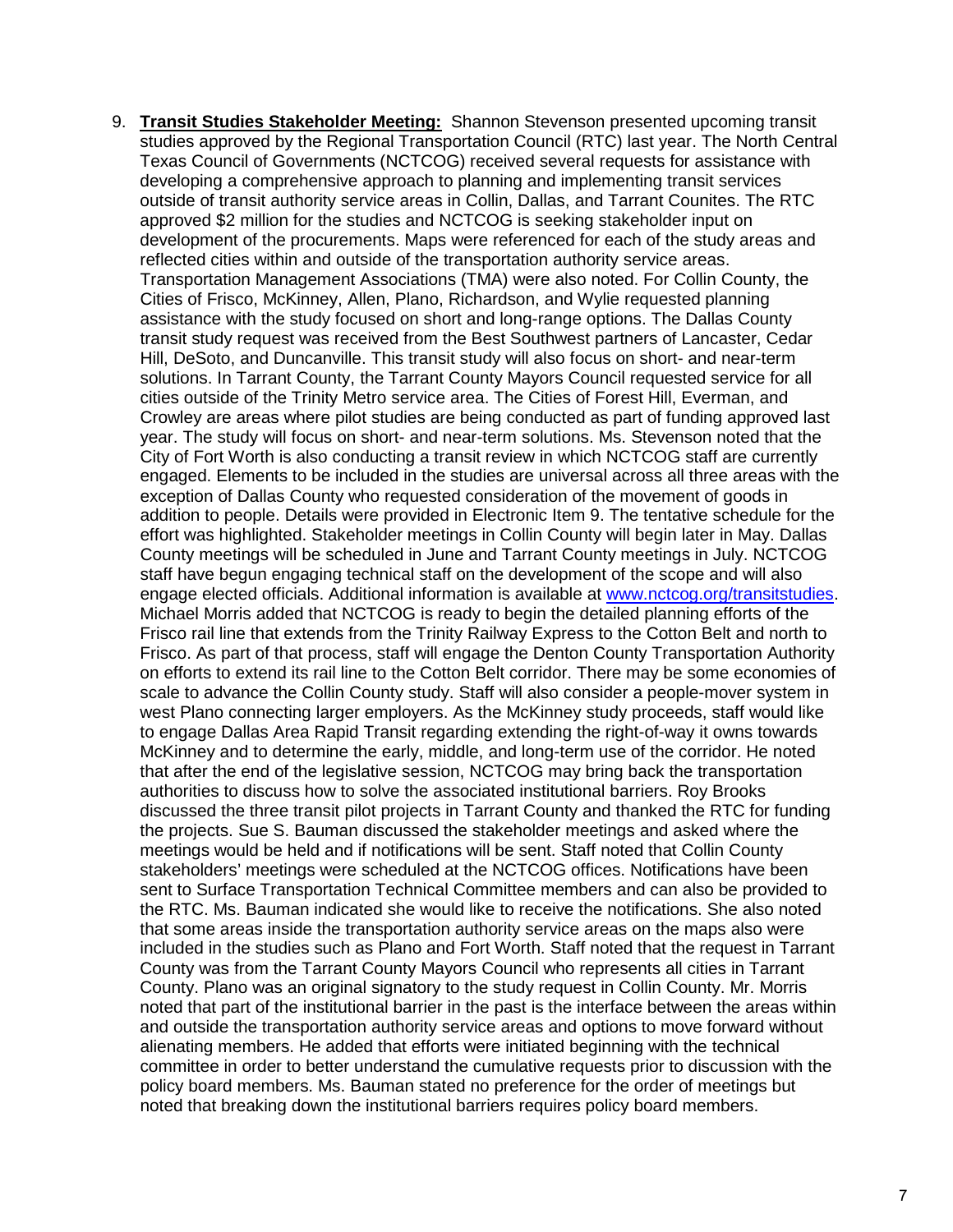9. **Transit Studies Stakeholder Meeting:** Shannon Stevenson presented upcoming transit studies approved by the Regional Transportation Council (RTC) last year. The North Central Texas Council of Governments (NCTCOG) received several requests for assistance with developing a comprehensive approach to planning and implementing transit services outside of transit authority service areas in Collin, Dallas, and Tarrant Counites. The RTC approved \$2 million for the studies and NCTCOG is seeking stakeholder input on development of the procurements. Maps were referenced for each of the study areas and reflected cities within and outside of the transportation authority service areas. Transportation Management Associations (TMA) were also noted. For Collin County, the Cities of Frisco, McKinney, Allen, Plano, Richardson, and Wylie requested planning assistance with the study focused on short and long-range options. The Dallas County transit study request was received from the Best Southwest partners of Lancaster, Cedar Hill, DeSoto, and Duncanville. This transit study will also focus on short- and near-term solutions. In Tarrant County, the Tarrant County Mayors Council requested service for all cities outside of the Trinity Metro service area. The Cities of Forest Hill, Everman, and Crowley are areas where pilot studies are being conducted as part of funding approved last year. The study will focus on short- and near-term solutions. Ms. Stevenson noted that the City of Fort Worth is also conducting a transit review in which NCTCOG staff are currently engaged. Elements to be included in the studies are universal across all three areas with the exception of Dallas County who requested consideration of the movement of goods in addition to people. Details were provided in Electronic Item 9. The tentative schedule for the effort was highlighted. Stakeholder meetings in Collin County will begin later in May. Dallas County meetings will be scheduled in June and Tarrant County meetings in July. NCTCOG staff have begun engaging technical staff on the development of the scope and will also engage elected officials. Additional information is available at [www.nctcog.org/transitstudies.](http://www.nctcog.org/transitstudies) Michael Morris added that NCTCOG is ready to begin the detailed planning efforts of the Frisco rail line that extends from the Trinity Railway Express to the Cotton Belt and north to Frisco. As part of that process, staff will engage the Denton County Transportation Authority on efforts to extend its rail line to the Cotton Belt corridor. There may be some economies of scale to advance the Collin County study. Staff will also consider a people-mover system in west Plano connecting larger employers. As the McKinney study proceeds, staff would like to engage Dallas Area Rapid Transit regarding extending the right-of-way it owns towards McKinney and to determine the early, middle, and long-term use of the corridor. He noted that after the end of the legislative session, NCTCOG may bring back the transportation authorities to discuss how to solve the associated institutional barriers. Roy Brooks discussed the three transit pilot projects in Tarrant County and thanked the RTC for funding the projects. Sue S. Bauman discussed the stakeholder meetings and asked where the meetings would be held and if notifications will be sent. Staff noted that Collin County stakeholders' meetings were scheduled at the NCTCOG offices. Notifications have been sent to Surface Transportation Technical Committee members and can also be provided to the RTC. Ms. Bauman indicated she would like to receive the notifications. She also noted that some areas inside the transportation authority service areas on the maps also were included in the studies such as Plano and Fort Worth. Staff noted that the request in Tarrant County was from the Tarrant County Mayors Council who represents all cities in Tarrant County. Plano was an original signatory to the study request in Collin County. Mr. Morris noted that part of the institutional barrier in the past is the interface between the areas within and outside the transportation authority service areas and options to move forward without alienating members. He added that efforts were initiated beginning with the technical committee in order to better understand the cumulative requests prior to discussion with the policy board members. Ms. Bauman stated no preference for the order of meetings but noted that breaking down the institutional barriers requires policy board members.